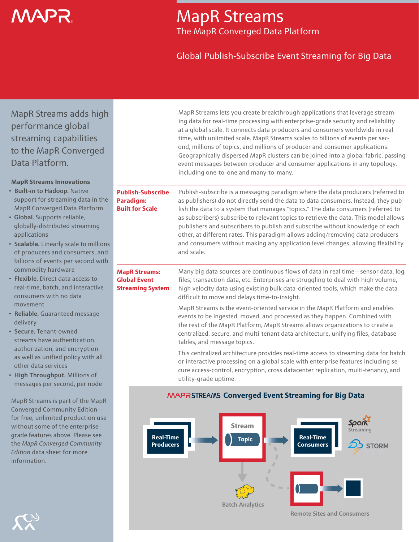# VAP R

### MapR Streams The MapR Converged Data Platform

### Global Publish-Subscribe Event Streaming for Big Data

MapR Streams adds high performance global streaming capabilities to the MapR Converged Data Platform.

| <b>MapR Streams Innovations</b> |
|---------------------------------|
|---------------------------------|

- **Built-in to Hadoop. Native** support for streaming data in the MapR Converged Data Platform
- Global. Supports reliable, globally-distributed streaming applications
- Scalable. Linearly scale to millions of producers and consumers, and billions of events per second with commodity hardware
- Flexible. Direct data access to real-time, batch, and interactive consumers with no data movement
- Reliable. Guaranteed message delivery
- Secure. Tenant-owned streams have authentication, authorization, and encryption as well as unified policy with all other data services
- High Throughput. Millions of messages per second, per node

MapR Streams is part of the MapR Converged Community Edition for free, unlimited production use without some of the enterprisegrade features above. Please see the *MapR Converged Community Edition* data sheet for more information.

| MapR Streams lets you create breakthrough applications that leverage stream-       |  |  |  |
|------------------------------------------------------------------------------------|--|--|--|
| ing data for real-time processing with enterprise-grade security and reliability   |  |  |  |
| at a global scale. It connects data producers and consumers worldwide in real      |  |  |  |
| time, with unlimited scale. MapR Streams scales to billions of events per sec-     |  |  |  |
| ond, millions of topics, and millions of producer and consumer applications.       |  |  |  |
| Geographically dispersed MapR clusters can be joined into a global fabric, passing |  |  |  |
| event messages between producer and consumer applications in any topology,         |  |  |  |
| including one-to-one and many-to-many.                                             |  |  |  |

#### **Publish-Subscribe Paradigm: Built for Scale**

Publish-subscribe is a messaging paradigm where the data producers (referred to as publishers) do not directly send the data to data consumers. Instead, they publish the data to a system that manages "topics." The data consumers (referred to as subscribers) subscribe to relevant topics to retrieve the data. This model allows publishers and subscribers to publish and subscribe without knowledge of each other, at different rates. This paradigm allows adding/removing data producers and consumers without making any application level changes, allowing flexibility and scale.

#### **MapR Streams: Global Event Streaming System**

Many big data sources are continuous flows of data in real time—sensor data, log files, transaction data, etc. Enterprises are struggling to deal with high volume, high velocity data using existing bulk data-oriented tools, which make the data difficult to move and delays time-to-insight.

MapR Streams is the event-oriented service in the MapR Platform and enables events to be ingested, moved, and processed as they happen. Combined with the rest of the MapR Platform, MapR Streams allows organizations to create a centralized, secure, and multi-tenant data architecture, unifying files, database tables, and message topics.

This centralized architecture provides real-time access to streaming data for batch or interactive processing on a global scale with enterprise features including secure access-control, encryption, cross datacenter replication, multi-tenancy, and utility-grade uptime.